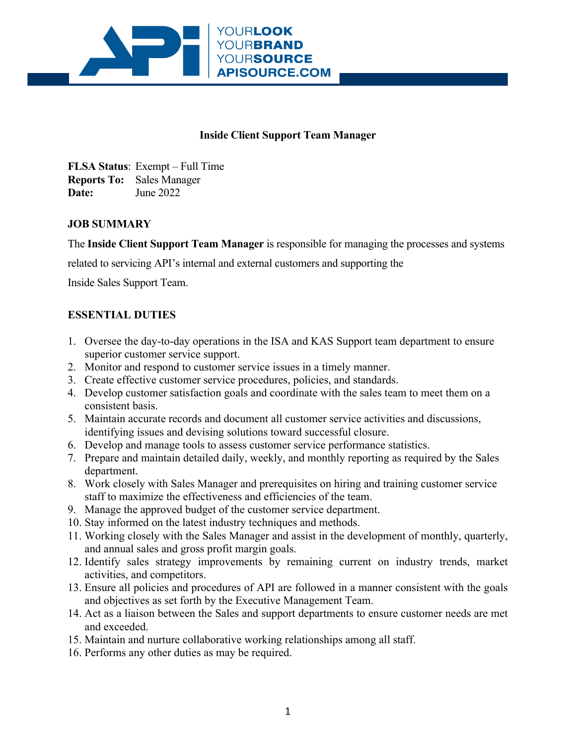

## **Inside Client Support Team Manager**

**FLSA Status**: Exempt – Full Time **Reports To:** Sales Manager **Date:** June 2022

## **JOB SUMMARY**

The **Inside Client Support Team Manager** is responsible for managing the processes and systems

related to servicing API's internal and external customers and supporting the

Inside Sales Support Team.

## **ESSENTIAL DUTIES**

- 1. Oversee the day-to-day operations in the ISA and KAS Support team department to ensure superior customer service support.
- 2. Monitor and respond to customer service issues in a timely manner.
- 3. Create effective customer service procedures, policies, and standards.
- 4. Develop customer satisfaction goals and coordinate with the sales team to meet them on a consistent basis.
- 5. Maintain accurate records and document all customer service activities and discussions, identifying issues and devising solutions toward successful closure.
- 6. Develop and manage tools to assess customer service performance statistics.
- 7. Prepare and maintain detailed daily, weekly, and monthly reporting as required by the Sales department.
- 8. Work closely with Sales Manager and prerequisites on hiring and training customer service staff to maximize the effectiveness and efficiencies of the team.
- 9. Manage the approved budget of the customer service department.
- 10. Stay informed on the latest industry techniques and methods.
- 11. Working closely with the Sales Manager and assist in the development of monthly, quarterly, and annual sales and gross profit margin goals.
- 12. Identify sales strategy improvements by remaining current on industry trends, market activities, and competitors.
- 13. Ensure all policies and procedures of API are followed in a manner consistent with the goals and objectives as set forth by the Executive Management Team.
- 14. Act as a liaison between the Sales and support departments to ensure customer needs are met and exceeded.
- 15. Maintain and nurture collaborative working relationships among all staff.
- 16. Performs any other duties as may be required.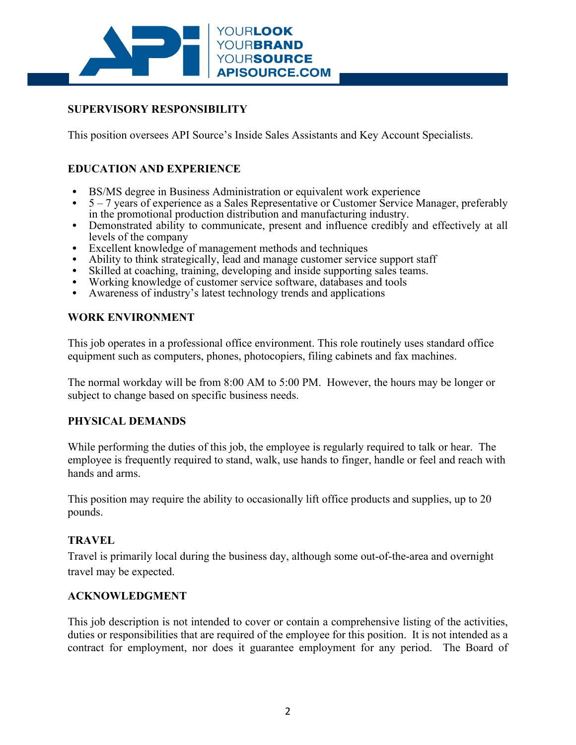

# **SUPERVISORY RESPONSIBILITY**

This position oversees API Source's Inside Sales Assistants and Key Account Specialists.

## **EDUCATION AND EXPERIENCE**

- BS/MS degree in Business Administration or equivalent work experience
- 5 7 years of experience as a Sales Representative or Customer Service Manager, preferably in the promotional production distribution and manufacturing industry.
- Demonstrated ability to communicate, present and influence credibly and effectively at all levels of the company
- Excellent knowledge of management methods and techniques<br>• Ability to think strategically lead and manage customer service
- Ability to think strategically, lead and manage customer service support staff
- Skilled at coaching, training, developing and inside supporting sales teams.
- Working knowledge of customer service software, databases and tools
- Awareness of industry's latest technology trends and applications

## **WORK ENVIRONMENT**

This job operates in a professional office environment. This role routinely uses standard office equipment such as computers, phones, photocopiers, filing cabinets and fax machines.

The normal workday will be from 8:00 AM to 5:00 PM. However, the hours may be longer or subject to change based on specific business needs.

### **PHYSICAL DEMANDS**

While performing the duties of this job, the employee is regularly required to talk or hear. The employee is frequently required to stand, walk, use hands to finger, handle or feel and reach with hands and arms.

This position may require the ability to occasionally lift office products and supplies, up to 20 pounds.

### **TRAVEL**

Travel is primarily local during the business day, although some out-of-the-area and overnight travel may be expected.

### **ACKNOWLEDGMENT**

This job description is not intended to cover or contain a comprehensive listing of the activities, duties or responsibilities that are required of the employee for this position. It is not intended as a contract for employment, nor does it guarantee employment for any period. The Board of